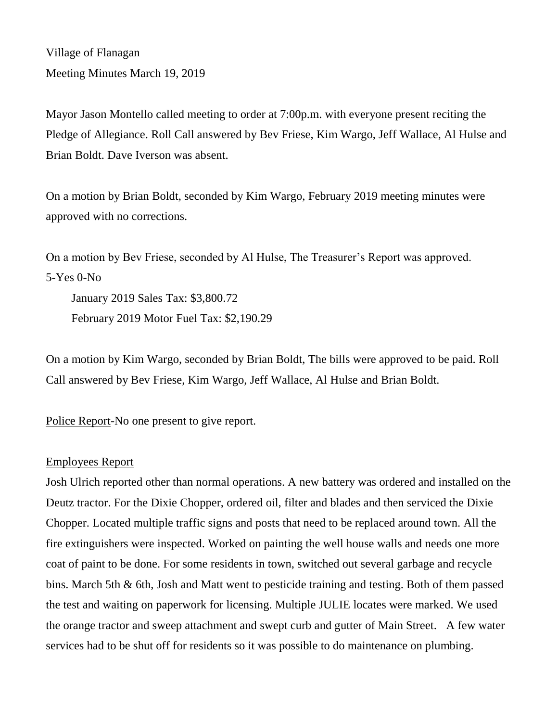Village of Flanagan Meeting Minutes March 19, 2019

Mayor Jason Montello called meeting to order at 7:00p.m. with everyone present reciting the Pledge of Allegiance. Roll Call answered by Bev Friese, Kim Wargo, Jeff Wallace, Al Hulse and Brian Boldt. Dave Iverson was absent.

On a motion by Brian Boldt, seconded by Kim Wargo, February 2019 meeting minutes were approved with no corrections.

On a motion by Bev Friese, seconded by Al Hulse, The Treasurer's Report was approved. 5-Yes 0-No

January 2019 Sales Tax: \$3,800.72 February 2019 Motor Fuel Tax: \$2,190.29

On a motion by Kim Wargo, seconded by Brian Boldt, The bills were approved to be paid. Roll Call answered by Bev Friese, Kim Wargo, Jeff Wallace, Al Hulse and Brian Boldt.

Police Report-No one present to give report.

# Employees Report

Josh Ulrich reported other than normal operations. A new battery was ordered and installed on the Deutz tractor. For the Dixie Chopper, ordered oil, filter and blades and then serviced the Dixie Chopper. Located multiple traffic signs and posts that need to be replaced around town. All the fire extinguishers were inspected. Worked on painting the well house walls and needs one more coat of paint to be done. For some residents in town, switched out several garbage and recycle bins. March 5th & 6th, Josh and Matt went to pesticide training and testing. Both of them passed the test and waiting on paperwork for licensing. Multiple JULIE locates were marked. We used the orange tractor and sweep attachment and swept curb and gutter of Main Street. A few water services had to be shut off for residents so it was possible to do maintenance on plumbing.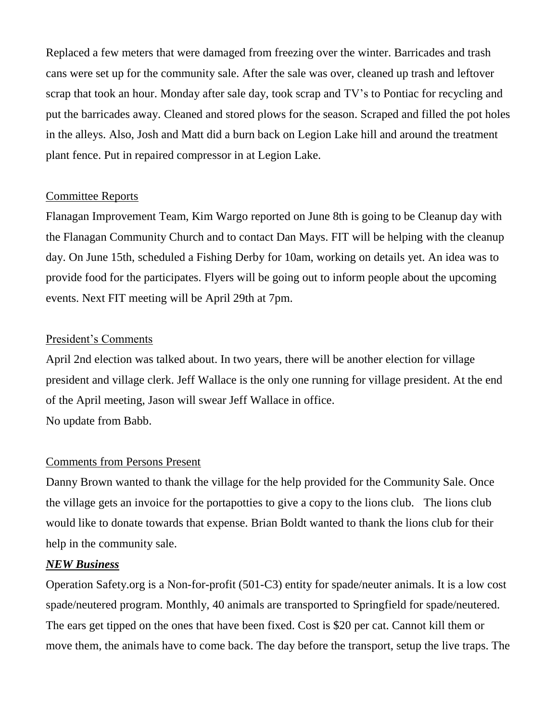Replaced a few meters that were damaged from freezing over the winter. Barricades and trash cans were set up for the community sale. After the sale was over, cleaned up trash and leftover scrap that took an hour. Monday after sale day, took scrap and TV's to Pontiac for recycling and put the barricades away. Cleaned and stored plows for the season. Scraped and filled the pot holes in the alleys. Also, Josh and Matt did a burn back on Legion Lake hill and around the treatment plant fence. Put in repaired compressor in at Legion Lake.

## Committee Reports

Flanagan Improvement Team, Kim Wargo reported on June 8th is going to be Cleanup day with the Flanagan Community Church and to contact Dan Mays. FIT will be helping with the cleanup day. On June 15th, scheduled a Fishing Derby for 10am, working on details yet. An idea was to provide food for the participates. Flyers will be going out to inform people about the upcoming events. Next FIT meeting will be April 29th at 7pm.

## President's Comments

April 2nd election was talked about. In two years, there will be another election for village president and village clerk. Jeff Wallace is the only one running for village president. At the end of the April meeting, Jason will swear Jeff Wallace in office. No update from Babb.

### Comments from Persons Present

Danny Brown wanted to thank the village for the help provided for the Community Sale. Once the village gets an invoice for the portapotties to give a copy to the lions club. The lions club would like to donate towards that expense. Brian Boldt wanted to thank the lions club for their help in the community sale.

## *NEW Business*

Operation Safety.org is a Non-for-profit (501-C3) entity for spade/neuter animals. It is a low cost spade/neutered program. Monthly, 40 animals are transported to Springfield for spade/neutered. The ears get tipped on the ones that have been fixed. Cost is \$20 per cat. Cannot kill them or move them, the animals have to come back. The day before the transport, setup the live traps. The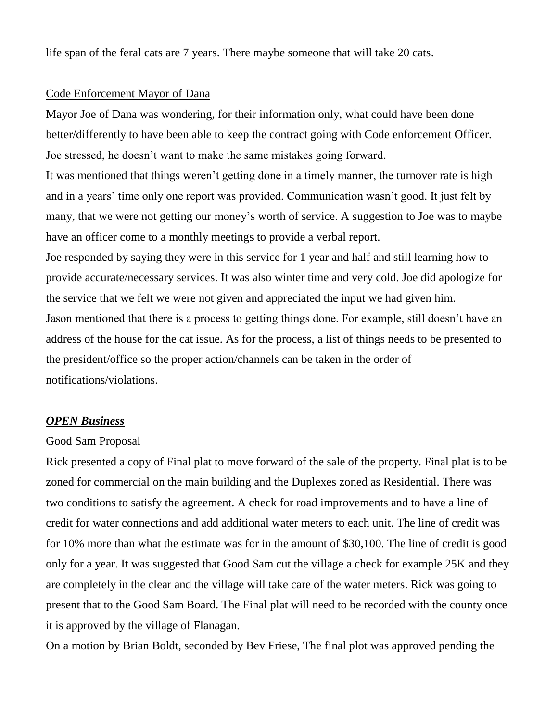life span of the feral cats are 7 years. There maybe someone that will take 20 cats.

#### Code Enforcement Mayor of Dana

Mayor Joe of Dana was wondering, for their information only, what could have been done better/differently to have been able to keep the contract going with Code enforcement Officer. Joe stressed, he doesn't want to make the same mistakes going forward.

It was mentioned that things weren't getting done in a timely manner, the turnover rate is high and in a years' time only one report was provided. Communication wasn't good. It just felt by many, that we were not getting our money's worth of service. A suggestion to Joe was to maybe have an officer come to a monthly meetings to provide a verbal report.

Joe responded by saying they were in this service for 1 year and half and still learning how to provide accurate/necessary services. It was also winter time and very cold. Joe did apologize for the service that we felt we were not given and appreciated the input we had given him. Jason mentioned that there is a process to getting things done. For example, still doesn't have an address of the house for the cat issue. As for the process, a list of things needs to be presented to the president/office so the proper action/channels can be taken in the order of notifications/violations.

### *OPEN Business*

#### Good Sam Proposal

Rick presented a copy of Final plat to move forward of the sale of the property. Final plat is to be zoned for commercial on the main building and the Duplexes zoned as Residential. There was two conditions to satisfy the agreement. A check for road improvements and to have a line of credit for water connections and add additional water meters to each unit. The line of credit was for 10% more than what the estimate was for in the amount of \$30,100. The line of credit is good only for a year. It was suggested that Good Sam cut the village a check for example 25K and they are completely in the clear and the village will take care of the water meters. Rick was going to present that to the Good Sam Board. The Final plat will need to be recorded with the county once it is approved by the village of Flanagan.

On a motion by Brian Boldt, seconded by Bev Friese, The final plot was approved pending the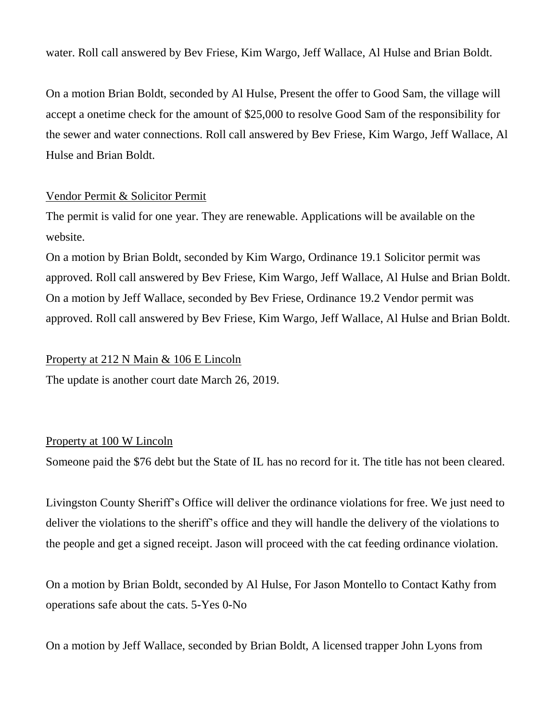water. Roll call answered by Bev Friese, Kim Wargo, Jeff Wallace, Al Hulse and Brian Boldt.

On a motion Brian Boldt, seconded by Al Hulse, Present the offer to Good Sam, the village will accept a onetime check for the amount of \$25,000 to resolve Good Sam of the responsibility for the sewer and water connections. Roll call answered by Bev Friese, Kim Wargo, Jeff Wallace, Al Hulse and Brian Boldt.

# Vendor Permit & Solicitor Permit

The permit is valid for one year. They are renewable. Applications will be available on the website.

On a motion by Brian Boldt, seconded by Kim Wargo, Ordinance 19.1 Solicitor permit was approved. Roll call answered by Bev Friese, Kim Wargo, Jeff Wallace, Al Hulse and Brian Boldt. On a motion by Jeff Wallace, seconded by Bev Friese, Ordinance 19.2 Vendor permit was approved. Roll call answered by Bev Friese, Kim Wargo, Jeff Wallace, Al Hulse and Brian Boldt.

## Property at 212 N Main & 106 E Lincoln

The update is another court date March 26, 2019.

# Property at 100 W Lincoln

Someone paid the \$76 debt but the State of IL has no record for it. The title has not been cleared.

Livingston County Sheriff's Office will deliver the ordinance violations for free. We just need to deliver the violations to the sheriff's office and they will handle the delivery of the violations to the people and get a signed receipt. Jason will proceed with the cat feeding ordinance violation.

On a motion by Brian Boldt, seconded by Al Hulse, For Jason Montello to Contact Kathy from operations safe about the cats. 5-Yes 0-No

On a motion by Jeff Wallace, seconded by Brian Boldt, A licensed trapper John Lyons from